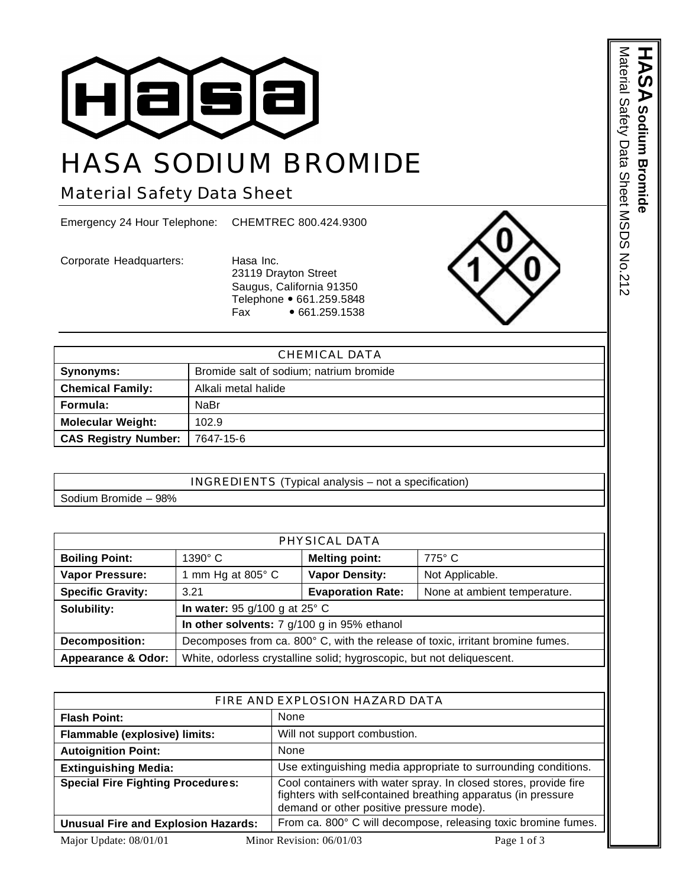

## HASA SODIUM BROMIDE

## Material Safety Data Sheet

Emergency 24 Hour Telephone: CHEMTREC 800.424.9300

Corporate Headquarters: Hasa Inc.

23119 Drayton Street Saugus, California 91350 Telephone • 661.259.5848<br>Fax • 661.259.1538  $• 661.259.1538$ 



|                             | CHEMICAL DATA                           |
|-----------------------------|-----------------------------------------|
| Synonyms:                   | Bromide salt of sodium; natrium bromide |
| <b>Chemical Family:</b>     | Alkali metal halide                     |
| Formula:                    | NaBr                                    |
| <b>Molecular Weight:</b>    | 102.9                                   |
| <b>CAS Registry Number:</b> | 7647-15-6                               |

|                      | INGREDIENTS (Typical analysis - not a specification) |
|----------------------|------------------------------------------------------|
| Sodium Bromide - 98% |                                                      |

| PHYSICAL DATA                 |                                                                                |                          |                              |
|-------------------------------|--------------------------------------------------------------------------------|--------------------------|------------------------------|
| <b>Boiling Point:</b>         | $1390^\circ$ C                                                                 | <b>Melting point:</b>    | $775^\circ$ C                |
| <b>Vapor Pressure:</b>        | 1 mm Hg at 805 $\degree$ C                                                     | <b>Vapor Density:</b>    | Not Applicable.              |
| <b>Specific Gravity:</b>      | 3.21                                                                           | <b>Evaporation Rate:</b> | None at ambient temperature. |
| Solubility:                   | In water: 95 $g/100$ g at 25 $^{\circ}$ C                                      |                          |                              |
|                               | In other solvents: 7 g/100 g in 95% ethanol                                    |                          |                              |
| <b>Decomposition:</b>         | Decomposes from ca. 800° C, with the release of toxic, irritant bromine fumes. |                          |                              |
| <b>Appearance &amp; Odor:</b> | White, odorless crystalline solid; hygroscopic, but not deliquescent.          |                          |                              |

| FIRE AND EXPLOSION HAZARD DATA             |                                                                                                                                                                               |  |
|--------------------------------------------|-------------------------------------------------------------------------------------------------------------------------------------------------------------------------------|--|
| <b>Flash Point:</b>                        | None                                                                                                                                                                          |  |
| Flammable (explosive) limits:              | Will not support combustion.                                                                                                                                                  |  |
| <b>Autoignition Point:</b>                 | None                                                                                                                                                                          |  |
| <b>Extinguishing Media:</b>                | Use extinguishing media appropriate to surrounding conditions.                                                                                                                |  |
| <b>Special Fire Fighting Procedures:</b>   | Cool containers with water spray. In closed stores, provide fire<br>fighters with self-contained breathing apparatus (in pressure<br>demand or other positive pressure mode). |  |
| <b>Unusual Fire and Explosion Hazards:</b> | From ca. 800° C will decompose, releasing toxic bromine fumes.                                                                                                                |  |
| Major Update: 08/01/01                     | Minor Revision: 06/01/03<br>Page 1 of 3                                                                                                                                       |  |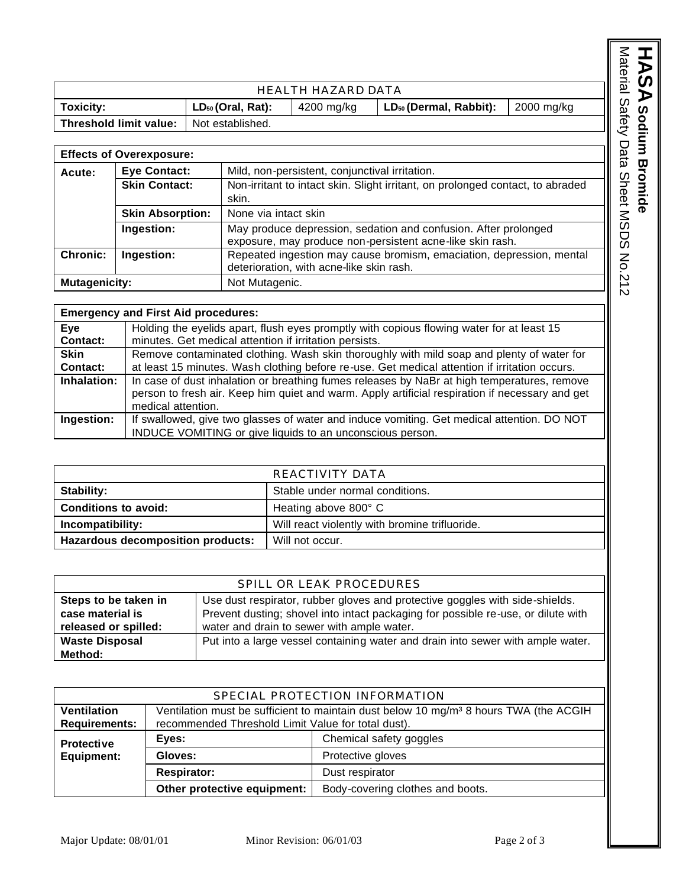| HEALTH HAZARD DATA     |                        |            |                                    |            |
|------------------------|------------------------|------------|------------------------------------|------------|
| <b>Toxicity:</b>       | $LD_{50}$ (Oral, Rat): | 4200 mg/kg | LD <sub>50</sub> (Dermal, Rabbit): | 2000 mg/kg |
| Threshold limit value: | Not established.       |            |                                    |            |

|                                                                               | <b>Effects of Overexposure:</b>                 |                                                                                |
|-------------------------------------------------------------------------------|-------------------------------------------------|--------------------------------------------------------------------------------|
| Acute:                                                                        | <b>Eye Contact:</b>                             | Mild, non-persistent, conjunctival irritation.                                 |
|                                                                               | <b>Skin Contact:</b>                            | Non-irritant to intact skin. Slight irritant, on prolonged contact, to abraded |
|                                                                               |                                                 | skin.                                                                          |
|                                                                               | None via intact skin<br><b>Skin Absorption:</b> |                                                                                |
| May produce depression, sedation and confusion. After prolonged<br>Ingestion: |                                                 |                                                                                |
|                                                                               |                                                 | exposure, may produce non-persistent acne-like skin rash.                      |
| <b>Chronic:</b>                                                               | Ingestion:                                      | Repeated ingestion may cause bromism, emaciation, depression, mental           |
|                                                                               |                                                 | deterioration, with acne-like skin rash.                                       |
| <b>Mutagenicity:</b>                                                          |                                                 | Not Mutagenic.                                                                 |

|                        | <b>Emergency and First Aid procedures:</b>                                                                                                                                                                           |
|------------------------|----------------------------------------------------------------------------------------------------------------------------------------------------------------------------------------------------------------------|
| Eye<br><b>Contact:</b> | Holding the eyelids apart, flush eyes promptly with copious flowing water for at least 15<br>minutes. Get medical attention if irritation persists.                                                                  |
| <b>Skin</b>            | Remove contaminated clothing. Wash skin thoroughly with mild soap and plenty of water for                                                                                                                            |
| <b>Contact:</b>        | at least 15 minutes. Wash clothing before re-use. Get medical attention if irritation occurs.                                                                                                                        |
| Inhalation:            | In case of dust inhalation or breathing fumes releases by NaBr at high temperatures, remove<br>person to fresh air. Keep him quiet and warm. Apply artificial respiration if necessary and get<br>medical attention. |
| Ingestion:             | If swallowed, give two glasses of water and induce vomiting. Get medical attention. DO NOT<br>INDUCE VOMITING or give liquids to an unconscious person.                                                              |

|                                   | REACTIVITY DATA                                |
|-----------------------------------|------------------------------------------------|
| <b>Stability:</b>                 | Stable under normal conditions.                |
| <b>Conditions to avoid:</b>       | Heating above 800° C                           |
| Incompatibility:                  | Will react violently with bromine trifluoride. |
| Hazardous decomposition products: | Will not occur.                                |

| SPILL OR LEAK PROCEDURES |                                                                                                       |  |  |
|--------------------------|-------------------------------------------------------------------------------------------------------|--|--|
| Steps to be taken in     | Use dust respirator, rubber gloves and protective goggles with side-shields.                          |  |  |
|                          |                                                                                                       |  |  |
|                          | Prevent dusting; shovel into intact packaging for possible re-use, or dilute with<br>case material is |  |  |
| released or spilled:     | water and drain to sewer with ample water.                                                            |  |  |
| <b>Waste Disposal</b>    | Put into a large vessel containing water and drain into sewer with ample water.                       |  |  |
| Method:                  |                                                                                                       |  |  |

|                                            | SPECIAL PROTECTION INFORMATION                                                                                                                          |                         |  |
|--------------------------------------------|---------------------------------------------------------------------------------------------------------------------------------------------------------|-------------------------|--|
| Ventilation<br><b>Requirements:</b>        | Ventilation must be sufficient to maintain dust below 10 mg/m <sup>3</sup> 8 hours TWA (the ACGIH<br>recommended Threshold Limit Value for total dust). |                         |  |
| <b>Protective</b>                          | Eyes:                                                                                                                                                   | Chemical safety goggles |  |
| Protective gloves<br>Gloves:<br>Equipment: |                                                                                                                                                         |                         |  |
| <b>Respirator:</b><br>Dust respirator      |                                                                                                                                                         |                         |  |
|                                            | Other protective equipment:<br>Body-covering clothes and boots.                                                                                         |                         |  |

Material Safety Data Sheet MSDS No.212 HASA Sodium Bromide Material Safety Data Sheet MSDS No.212 **Sodium Bromide**